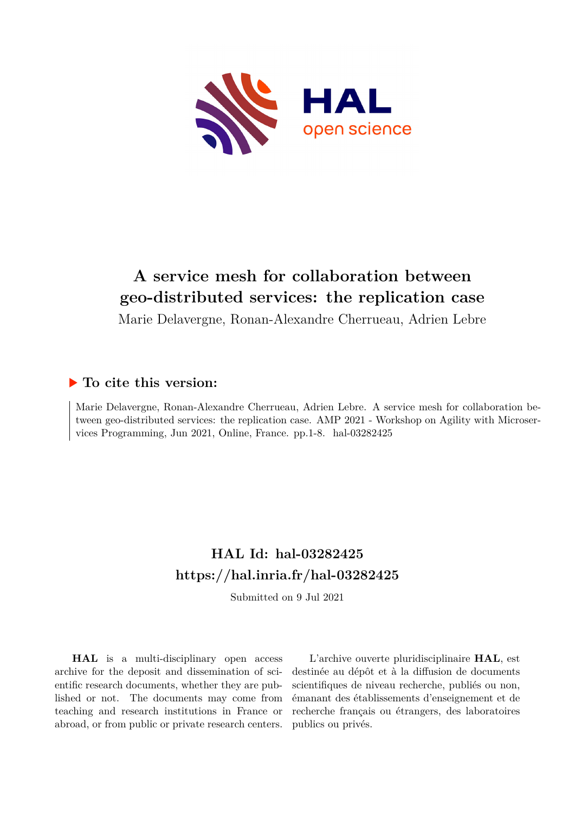

# **A service mesh for collaboration between geo-distributed services: the replication case**

Marie Delavergne, Ronan-Alexandre Cherrueau, Adrien Lebre

# **To cite this version:**

Marie Delavergne, Ronan-Alexandre Cherrueau, Adrien Lebre. A service mesh for collaboration between geo-distributed services: the replication case. AMP 2021 - Workshop on Agility with Microservices Programming, Jun 2021, Online, France. pp.1-8. hal-03282425

# **HAL Id: hal-03282425 <https://hal.inria.fr/hal-03282425>**

Submitted on 9 Jul 2021

**HAL** is a multi-disciplinary open access archive for the deposit and dissemination of scientific research documents, whether they are published or not. The documents may come from teaching and research institutions in France or abroad, or from public or private research centers.

L'archive ouverte pluridisciplinaire **HAL**, est destinée au dépôt et à la diffusion de documents scientifiques de niveau recherche, publiés ou non, émanant des établissements d'enseignement et de recherche français ou étrangers, des laboratoires publics ou privés.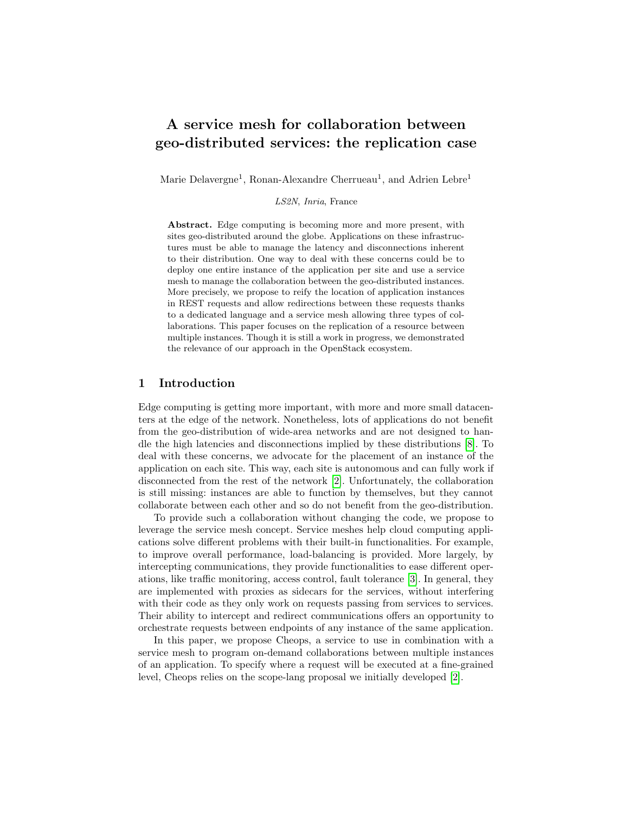# A service mesh for collaboration between geo-distributed services: the replication case

Marie Delavergne<sup>1</sup>, Ronan-Alexandre Cherrueau<sup>1</sup>, and Adrien Lebre<sup>1</sup>

LS2N, Inria, France

Abstract. Edge computing is becoming more and more present, with sites geo-distributed around the globe. Applications on these infrastructures must be able to manage the latency and disconnections inherent to their distribution. One way to deal with these concerns could be to deploy one entire instance of the application per site and use a service mesh to manage the collaboration between the geo-distributed instances. More precisely, we propose to reify the location of application instances in REST requests and allow redirections between these requests thanks to a dedicated language and a service mesh allowing three types of collaborations. This paper focuses on the replication of a resource between multiple instances. Though it is still a work in progress, we demonstrated the relevance of our approach in the OpenStack ecosystem.

# 1 Introduction

Edge computing is getting more important, with more and more small datacenters at the edge of the network. Nonetheless, lots of applications do not benefit from the geo-distribution of wide-area networks and are not designed to handle the high latencies and disconnections implied by these distributions [8]. To deal with these concerns, we advocate for the placement of an instance of the application on each site. This way, each site is autonomous and can fully work if disconnected from the rest of the network [2]. Unfortunately, the collaboration is still missing: instances are able to function by themselves, but they cannot collaborate between each other and so do not benefit from the geo-distribution.

To provide such a collaboration without changing the code, we propose to leverage the service mesh concept. Service meshes help cloud computing applications solve different problems with their built-in functionalities. For example, to improve overall performance, load-balancing is provided. More largely, by intercepting communications, they provide functionalities to ease different operations, like traffic monitoring, access control, fault tolerance [3]. In general, they are implemented with proxies as sidecars for the services, without interfering with their code as they only work on requests passing from services to services. Their ability to intercept and redirect communications offers an opportunity to orchestrate requests between endpoints of any instance of the same application.

In this paper, we propose Cheops, a service to use in combination with a service mesh to program on-demand collaborations between multiple instances of an application. To specify where a request will be executed at a fine-grained level, Cheops relies on the scope-lang proposal we initially developed [2].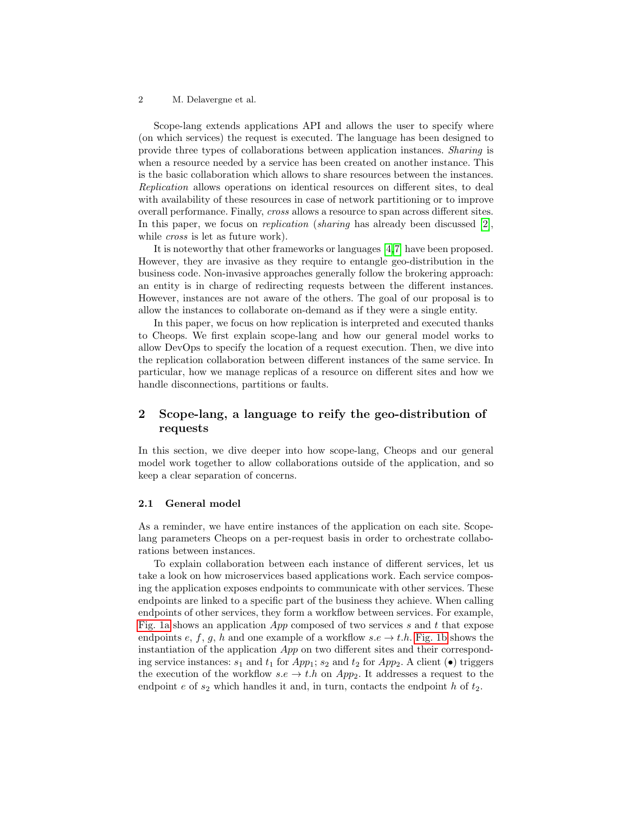Scope-lang extends applications API and allows the user to specify where (on which services) the request is executed. The language has been designed to provide three types of collaborations between application instances. Sharing is when a resource needed by a service has been created on another instance. This is the basic collaboration which allows to share resources between the instances. Replication allows operations on identical resources on different sites, to deal with availability of these resources in case of network partitioning or to improve overall performance. Finally, cross allows a resource to span across different sites. In this paper, we focus on *replication* (*sharing* has already been discussed  $[2]$ , while *cross* is let as future work).

It is noteworthy that other frameworks or languages [4,7] have been proposed. However, they are invasive as they require to entangle geo-distribution in the business code. Non-invasive approaches generally follow the brokering approach: an entity is in charge of redirecting requests between the different instances. However, instances are not aware of the others. The goal of our proposal is to allow the instances to collaborate on-demand as if they were a single entity.

In this paper, we focus on how replication is interpreted and executed thanks to Cheops. We first explain scope-lang and how our general model works to allow DevOps to specify the location of a request execution. Then, we dive into the replication collaboration between different instances of the same service. In particular, how we manage replicas of a resource on different sites and how we handle disconnections, partitions or faults.

# 2 Scope-lang, a language to reify the geo-distribution of requests

In this section, we dive deeper into how scope-lang, Cheops and our general model work together to allow collaborations outside of the application, and so keep a clear separation of concerns.

#### 2.1 General model

As a reminder, we have entire instances of the application on each site. Scopelang parameters Cheops on a per-request basis in order to orchestrate collaborations between instances.

To explain collaboration between each instance of different services, let us take a look on how microservices based applications work. Each service composing the application exposes endpoints to communicate with other services. These endpoints are linked to a specific part of the business they achieve. When calling endpoints of other services, they form a workflow between services. For example, Fig. 1a shows an application  $App$  composed of two services s and t that expose endpoints e, f, g, h and one example of a workflow  $s.e \to t.h$ . Fig. 1b shows the instantiation of the application App on two different sites and their corresponding service instances:  $s_1$  and  $t_1$  for  $App_1$ ;  $s_2$  and  $t_2$  for  $App_2$ . A client ( $\bullet$ ) triggers the execution of the workflow  $s.e \to t.h$  on  $App_2$ . It addresses a request to the endpoint  $e$  of  $s_2$  which handles it and, in turn, contacts the endpoint  $h$  of  $t_2$ .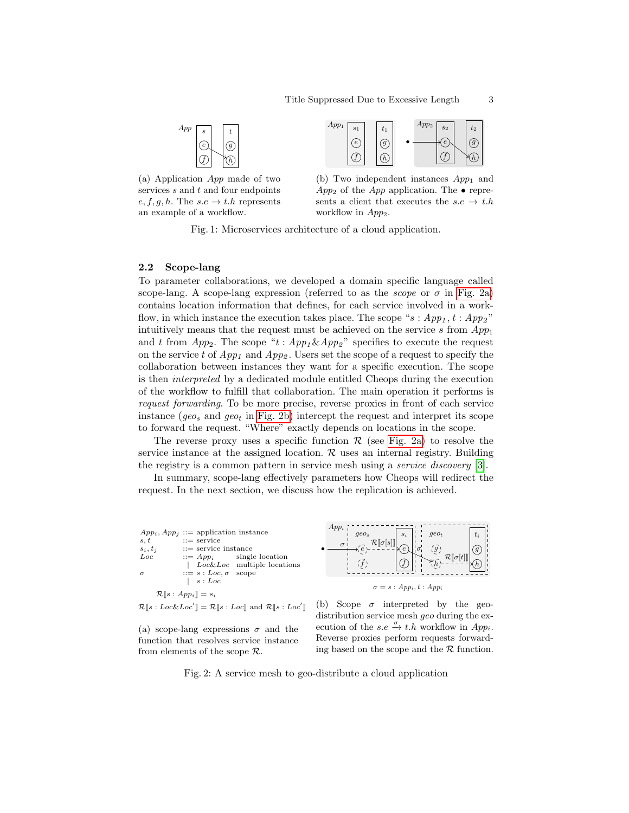

(a) Application App made of two services  $s$  and  $t$  and four endpoints  $e, f, g, h$ . The  $s.e \rightarrow t.h$  represents an example of a workflow.



(b) Two independent instances  $App_1$  and  $App_2$  of the  $App$  application. The • represents a client that executes the  $s.e. \rightarrow t.h$ workflow in  $App_2$ .

Fig. 1: Microservices architecture of a cloud application.

#### 2.2 Scope-lang

To parameter collaborations, we developed a domain specific language called scope-lang. A scope-lang expression (referred to as the *scope* or  $\sigma$  in Fig. 2a) contains location information that defines, for each service involved in a workflow, in which instance the execution takes place. The scope "s:  $App_1, t : App_2$ " intuitively means that the request must be achieved on the service s from  $App<sub>1</sub>$ and t from  $App_2$ . The scope "t:  $App_1 \& App_2$ " specifies to execute the request on the service t of  $App_1$  and  $App_2$ . Users set the scope of a request to specify the collaboration between instances they want for a specific execution. The scope is then interpreted by a dedicated module entitled Cheops during the execution of the workflow to fulfill that collaboration. The main operation it performs is request forwarding. To be more precise, reverse proxies in front of each service instance ( $geo_s$  and  $geo_t$  in Fig. 2b) intercept the request and interpret its scope to forward the request. "Where" exactly depends on locations in the scope.

The reverse proxy uses a specific function  $\mathcal R$  (see Fig. 2a) to resolve the service instance at the assigned location.  $\mathcal R$  uses an internal registry. Building the registry is a common pattern in service mesh using a service discovery [3].

In summary, scope-lang effectively parameters how Cheops will redirect the request. In the next section, we discuss how the replication is achieved.



(a) scope-lang expressions  $\sigma$  and the function that resolves service instance from elements of the scope  $\mathcal{R}$ .



 $t_i$ g  $\boldsymbol{h}$ 

Fig. 2: A service mesh to geo-distribute a cloud application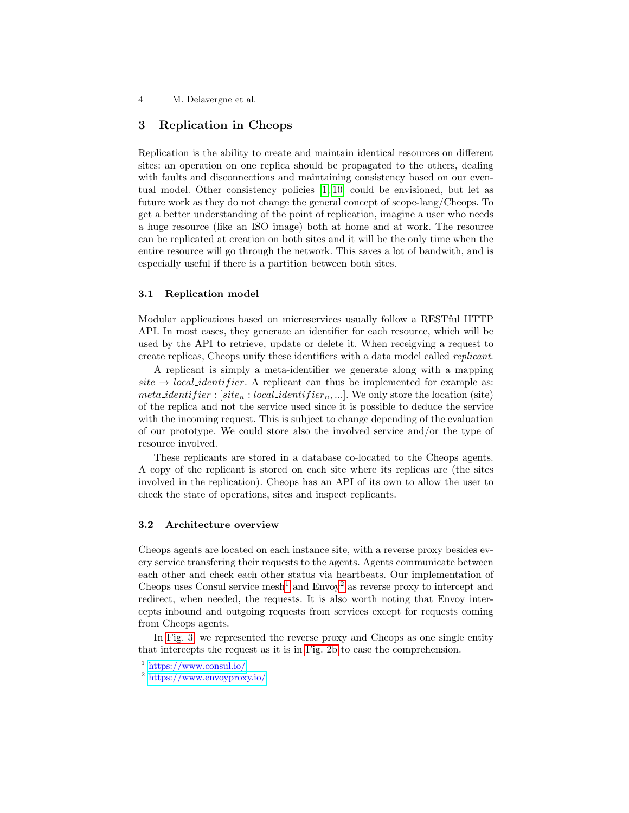# 3 Replication in Cheops

Replication is the ability to create and maintain identical resources on different sites: an operation on one replica should be propagated to the others, dealing with faults and disconnections and maintaining consistency based on our eventual model. Other consistency policies [1, 10] could be envisioned, but let as future work as they do not change the general concept of scope-lang/Cheops. To get a better understanding of the point of replication, imagine a user who needs a huge resource (like an ISO image) both at home and at work. The resource can be replicated at creation on both sites and it will be the only time when the entire resource will go through the network. This saves a lot of bandwith, and is especially useful if there is a partition between both sites.

## 3.1 Replication model

Modular applications based on microservices usually follow a RESTful HTTP API. In most cases, they generate an identifier for each resource, which will be used by the API to retrieve, update or delete it. When receigving a request to create replicas, Cheops unify these identifiers with a data model called replicant.

A replicant is simply a meta-identifier we generate along with a mapping  $site \rightarrow local\_identity$  fier. A replicant can thus be implemented for example as: *meta identifier* : [site<sub>n</sub> : local identifier<sub>n</sub>, ...]. We only store the location (site) of the replica and not the service used since it is possible to deduce the service with the incoming request. This is subject to change depending of the evaluation of our prototype. We could store also the involved service and/or the type of resource involved.

These replicants are stored in a database co-located to the Cheops agents. A copy of the replicant is stored on each site where its replicas are (the sites involved in the replication). Cheops has an API of its own to allow the user to check the state of operations, sites and inspect replicants.

### 3.2 Architecture overview

Cheops agents are located on each instance site, with a reverse proxy besides every service transfering their requests to the agents. Agents communicate between each other and check each other status via heartbeats. Our implementation of Cheops uses Consul service mesh<sup>1</sup> and  $\text{Envoy}^2$  as reverse proxy to intercept and redirect, when needed, the requests. It is also worth noting that Envoy intercepts inbound and outgoing requests from services except for requests coming from Cheops agents.

In Fig. 3, we represented the reverse proxy and Cheops as one single entity that intercepts the request as it is in Fig. 2b to ease the comprehension.

<sup>1</sup> <https://www.consul.io/>

<sup>2</sup> <https://www.envoyproxy.io/>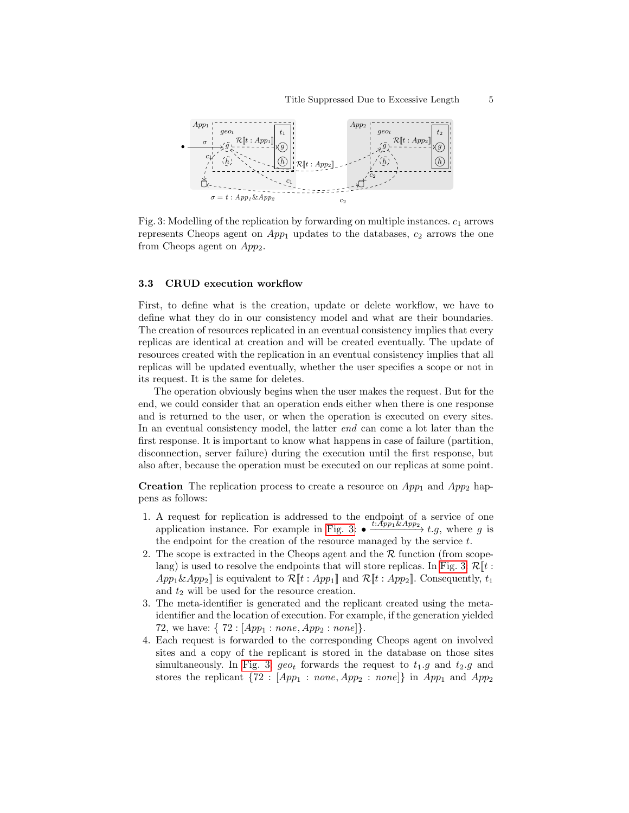

Fig. 3: Modelling of the replication by forwarding on multiple instances.  $c_1$  arrows represents Cheops agent on  $App_1$  updates to the databases,  $c_2$  arrows the one from Cheops agent on  $App_2$ .

#### 3.3 CRUD execution workflow

First, to define what is the creation, update or delete workflow, we have to define what they do in our consistency model and what are their boundaries. The creation of resources replicated in an eventual consistency implies that every replicas are identical at creation and will be created eventually. The update of resources created with the replication in an eventual consistency implies that all replicas will be updated eventually, whether the user specifies a scope or not in its request. It is the same for deletes.

The operation obviously begins when the user makes the request. But for the end, we could consider that an operation ends either when there is one response and is returned to the user, or when the operation is executed on every sites. In an eventual consistency model, the latter *end* can come a lot later than the first response. It is important to know what happens in case of failure (partition, disconnection, server failure) during the execution until the first response, but also after, because the operation must be executed on our replicas at some point.

**Creation** The replication process to create a resource on  $App_1$  and  $App_2$  happens as follows:

- 1. A request for replication is addressed to the endpoint of a service of one application instance. For example in Fig. 3:  $\bullet \frac{t:App_1 \& App_2}{t.g.}$  where g is the endpoint for the creation of the resource managed by the service  $t$ .
- 2. The scope is extracted in the Cheops agent and the  $R$  function (from scopelang) is used to resolve the endpoints that will store replicas. In Fig. 3:  $\mathcal{R}[[t :$  $App_1 \& App_2$ ] is equivalent to  $\mathcal{R}[[t : App_1]]$  and  $\mathcal{R}[[t : App_2]]$ . Consequently,  $t_1$ and  $t_2$  will be used for the resource creation.
- 3. The meta-identifier is generated and the replicant created using the metaidentifier and the location of execution. For example, if the generation yielded 72, we have:  $\{ 72 : [App_1 : none, App_2 : none] \}.$
- 4. Each request is forwarded to the corresponding Cheops agent on involved sites and a copy of the replicant is stored in the database on those sites simultaneously. In Fig. 3:  $geo_t$  forwards the request to  $t_1.g$  and  $t_2.g$  and stores the replicant  $\{72 : [App_1 : none, App_2 : none]\}$  in  $App_1$  and  $App_2$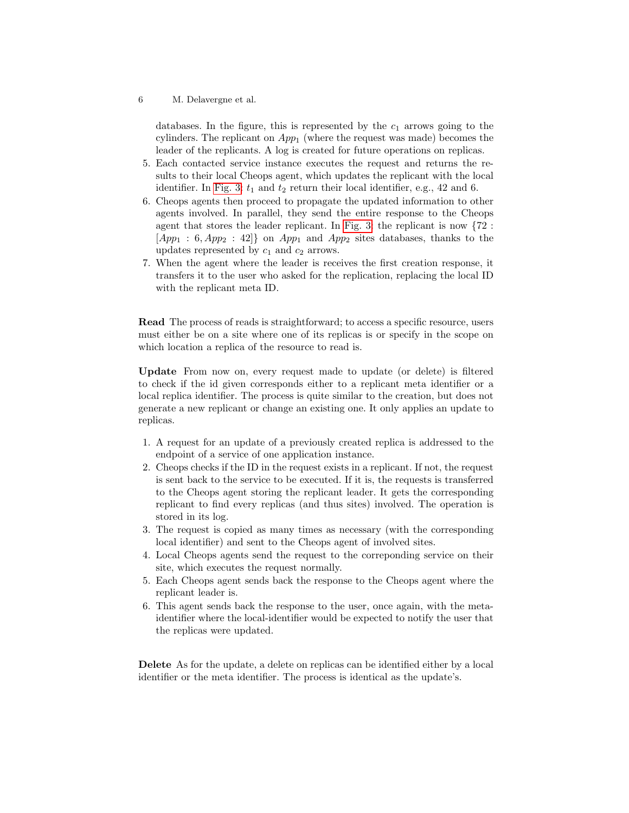databases. In the figure, this is represented by the  $c_1$  arrows going to the cylinders. The replicant on  $App<sub>1</sub>$  (where the request was made) becomes the leader of the replicants. A log is created for future operations on replicas.

- 5. Each contacted service instance executes the request and returns the results to their local Cheops agent, which updates the replicant with the local identifier. In Fig. 3:  $t_1$  and  $t_2$  return their local identifier, e.g., 42 and 6.
- 6. Cheops agents then proceed to propagate the updated information to other agents involved. In parallel, they send the entire response to the Cheops agent that stores the leader replicant. In Fig. 3: the replicant is now {72 :  $[App_1 : 6, App_2 : 42]$  on  $App_1$  and  $App_2$  sites databases, thanks to the updates represented by  $c_1$  and  $c_2$  arrows.
- 7. When the agent where the leader is receives the first creation response, it transfers it to the user who asked for the replication, replacing the local ID with the replicant meta ID.

Read The process of reads is straightforward; to access a specific resource, users must either be on a site where one of its replicas is or specify in the scope on which location a replica of the resource to read is.

Update From now on, every request made to update (or delete) is filtered to check if the id given corresponds either to a replicant meta identifier or a local replica identifier. The process is quite similar to the creation, but does not generate a new replicant or change an existing one. It only applies an update to replicas.

- 1. A request for an update of a previously created replica is addressed to the endpoint of a service of one application instance.
- 2. Cheops checks if the ID in the request exists in a replicant. If not, the request is sent back to the service to be executed. If it is, the requests is transferred to the Cheops agent storing the replicant leader. It gets the corresponding replicant to find every replicas (and thus sites) involved. The operation is stored in its log.
- 3. The request is copied as many times as necessary (with the corresponding local identifier) and sent to the Cheops agent of involved sites.
- 4. Local Cheops agents send the request to the correponding service on their site, which executes the request normally.
- 5. Each Cheops agent sends back the response to the Cheops agent where the replicant leader is.
- 6. This agent sends back the response to the user, once again, with the metaidentifier where the local-identifier would be expected to notify the user that the replicas were updated.

Delete As for the update, a delete on replicas can be identified either by a local identifier or the meta identifier. The process is identical as the update's.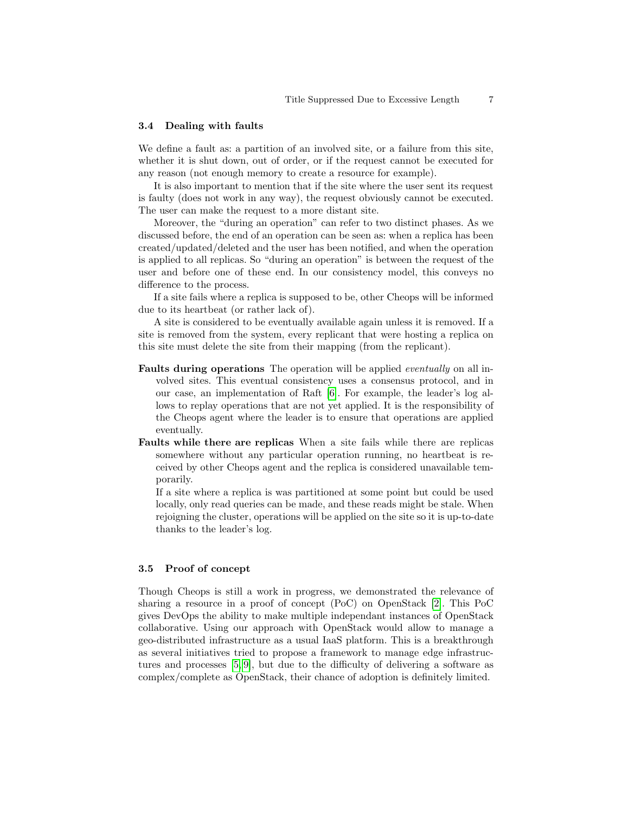### 3.4 Dealing with faults

We define a fault as: a partition of an involved site, or a failure from this site, whether it is shut down, out of order, or if the request cannot be executed for any reason (not enough memory to create a resource for example).

It is also important to mention that if the site where the user sent its request is faulty (does not work in any way), the request obviously cannot be executed. The user can make the request to a more distant site.

Moreover, the "during an operation" can refer to two distinct phases. As we discussed before, the end of an operation can be seen as: when a replica has been created/updated/deleted and the user has been notified, and when the operation is applied to all replicas. So "during an operation" is between the request of the user and before one of these end. In our consistency model, this conveys no difference to the process.

If a site fails where a replica is supposed to be, other Cheops will be informed due to its heartbeat (or rather lack of).

A site is considered to be eventually available again unless it is removed. If a site is removed from the system, every replicant that were hosting a replica on this site must delete the site from their mapping (from the replicant).

- Faults during operations The operation will be applied eventually on all involved sites. This eventual consistency uses a consensus protocol, and in our case, an implementation of Raft [6]. For example, the leader's log allows to replay operations that are not yet applied. It is the responsibility of the Cheops agent where the leader is to ensure that operations are applied eventually.
- Faults while there are replicas When a site fails while there are replicas somewhere without any particular operation running, no heartbeat is received by other Cheops agent and the replica is considered unavailable temporarily.

If a site where a replica is was partitioned at some point but could be used locally, only read queries can be made, and these reads might be stale. When rejoigning the cluster, operations will be applied on the site so it is up-to-date thanks to the leader's log.

### 3.5 Proof of concept

Though Cheops is still a work in progress, we demonstrated the relevance of sharing a resource in a proof of concept (PoC) on OpenStack [2]. This PoC gives DevOps the ability to make multiple independant instances of OpenStack collaborative. Using our approach with OpenStack would allow to manage a geo-distributed infrastructure as a usual IaaS platform. This is a breakthrough as several initiatives tried to propose a framework to manage edge infrastructures and processes [5, 9], but due to the difficulty of delivering a software as complex/complete as OpenStack, their chance of adoption is definitely limited.